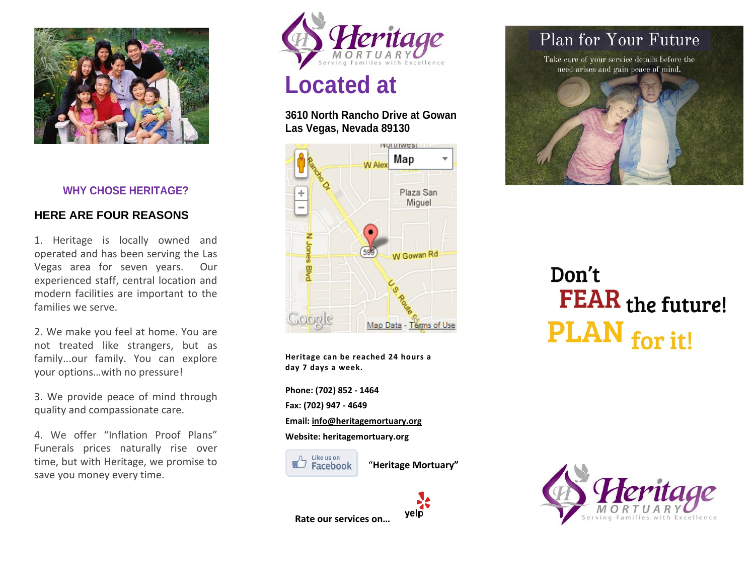

### **WHY CHOSE HERITAGE?**

### **HERE ARE FOUR REASONS**

1. Heritage is locally owned and operated and has been serving the Las Vegas area for seven years. Our experienced staff, central location and modern facilities are important to the families we serve.

2. We make you feel at home. You are not treated like strangers, but as family...our family. You can explore your options…with no pressure!

3. We provide peace of mind through quality and compassionate care.

4. We offer "Inflation Proof Plans" Funerals prices naturally rise over time, but with Heritage, we promise to save you money every time.



## **Located at**

### **3610 North Rancho Drive at Gowan Las Vegas, Nevada 89130**



**Heritage can be reached 24 hours a day 7 days a week.**

**Phone: (702) 852 - 1464 Fax: (702) 947 - 4649 Email: info@heritagemortuary.org Website: heritagemortuary.org**



"**Heritage Mortuary"**



## Plan for Your Future

Take care of your service details before the need arises and gain peace of mind.



# Don't **FEAR** the future! PLAN for it!